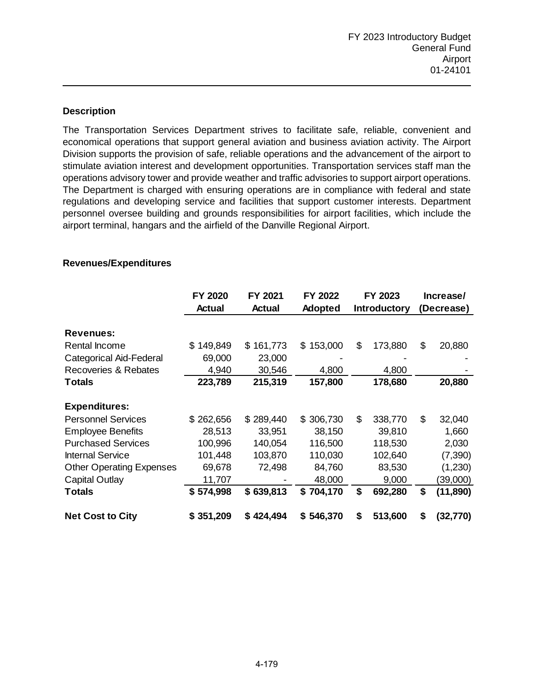# **Description**

The Transportation Services Department strives to facilitate safe, reliable, convenient and economical operations that support general aviation and business aviation activity. The Airport Division supports the provision of safe, reliable operations and the advancement of the airport to stimulate aviation interest and development opportunities. Transportation services staff man the operations advisory tower and provide weather and traffic advisories to support airport operations. The Department is charged with ensuring operations are in compliance with federal and state regulations and developing service and facilities that support customer interests. Department personnel oversee building and grounds responsibilities for airport facilities, which include the airport terminal, hangars and the airfield of the Danville Regional Airport.

|                                 | FY 2020        | FY 2021       | FY 2022        | FY 2023             |         | Increase/  |           |
|---------------------------------|----------------|---------------|----------------|---------------------|---------|------------|-----------|
|                                 | <b>Actual</b>  | <b>Actual</b> | <b>Adopted</b> | <b>Introductory</b> |         | (Decrease) |           |
|                                 |                |               |                |                     |         |            |           |
| <b>Revenues:</b>                |                |               |                |                     |         |            |           |
| Rental Income                   | 149,849<br>\$. | 161,773<br>\$ | 153,000<br>\$  | \$                  | 173,880 | \$         | 20,880    |
| Categorical Aid-Federal         | 69,000         | 23,000        |                |                     |         |            |           |
| Recoveries & Rebates            | 4,940          | 30,546        | 4,800          |                     | 4,800   |            |           |
| <b>Totals</b>                   | 223,789        | 215,319       | 157,800        |                     | 178,680 |            | 20,880    |
|                                 |                |               |                |                     |         |            |           |
| <b>Expenditures:</b>            |                |               |                |                     |         |            |           |
| <b>Personnel Services</b>       | \$262,656      | \$289,440     | \$306,730      | \$                  | 338,770 | \$         | 32,040    |
| <b>Employee Benefits</b>        | 28,513         | 33,951        | 38,150         |                     | 39,810  |            | 1,660     |
| <b>Purchased Services</b>       | 100,996        | 140,054       | 116,500        |                     | 118,530 |            | 2,030     |
| <b>Internal Service</b>         | 101,448        | 103,870       | 110,030        |                     | 102,640 |            | (7, 390)  |
| <b>Other Operating Expenses</b> | 69,678         | 72,498        | 84,760         |                     | 83,530  |            | (1,230)   |
| <b>Capital Outlay</b>           | 11,707         |               | 48,000         |                     | 9,000   |            | (39,000)  |
| <b>Totals</b>                   | \$574,998      | \$639,813     | \$704,170      | \$                  | 692,280 | \$         | (11, 890) |
| <b>Net Cost to City</b>         | \$351,209      | \$424,494     | \$546,370      | \$                  | 513,600 | \$         | (32,770)  |

## **Revenues/Expenditures**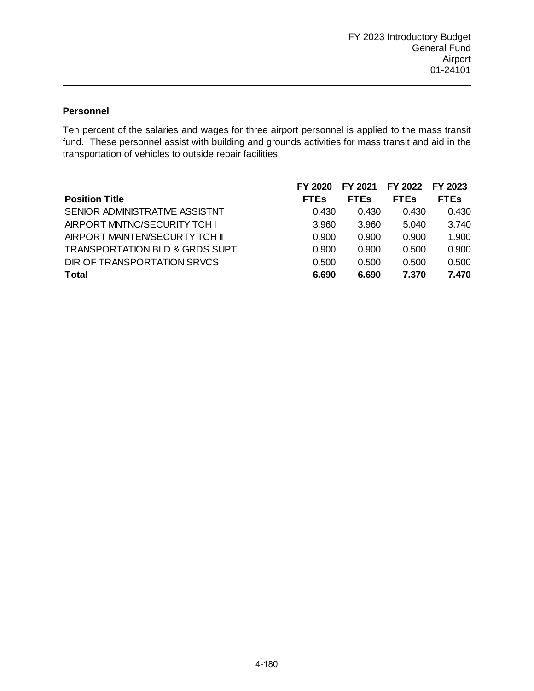# **Personnel**

Ten percent of the salaries and wages for three airport personnel is applied to the mass transit fund. These personnel assist with building and grounds activities for mass transit and aid in the transportation of vehicles to outside repair facilities.

|                                           | FY 2020     | FY 2021     | FY 2022     | FY 2023     |
|-------------------------------------------|-------------|-------------|-------------|-------------|
| <b>Position Title</b>                     | <b>FTEs</b> | <b>FTEs</b> | <b>FTEs</b> | <b>FTEs</b> |
| SENIOR ADMINISTRATIVE ASSISTNT            | 0.430       | 0.430       | 0.430       | 0.430       |
| AIRPORT MNTNC/SECURITY TCH I              | 3.960       | 3.960       | 5.040       | 3.740       |
| AIRPORT MAINTEN/SECURTY TCH II            | 0.900       | 0.900       | 0.900       | 1.900       |
| <b>TRANSPORTATION BLD &amp; GRDS SUPT</b> | 0.900       | 0.900       | 0.500       | 0.900       |
| DIR OF TRANSPORTATION SRVCS               | 0.500       | 0.500       | 0.500       | 0.500       |
| <b>Total</b>                              | 6.690       | 6.690       | 7.370       | 7.470       |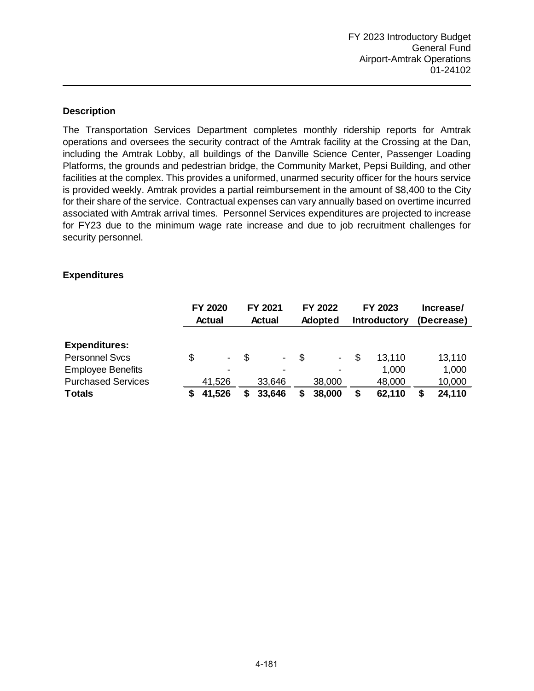# **Description**

The Transportation Services Department completes monthly ridership reports for Amtrak operations and oversees the security contract of the Amtrak facility at the Crossing at the Dan, including the Amtrak Lobby, all buildings of the Danville Science Center, Passenger Loading Platforms, the grounds and pedestrian bridge, the Community Market, Pepsi Building, and other facilities at the complex. This provides a uniformed, unarmed security officer for the hours service is provided weekly. Amtrak provides a partial reimbursement in the amount of \$8,400 to the City for their share of the service. Contractual expenses can vary annually based on overtime incurred associated with Amtrak arrival times. Personnel Services expenditures are projected to increase for FY23 due to the minimum wage rate increase and due to job recruitment challenges for security personnel.

## **Expenditures**

|                           | <b>FY 2020</b><br><b>Actual</b> | FY 2021<br><b>Actual</b>       |    | <b>FY 2022</b><br><b>Adopted</b> |    | FY 2023<br><b>Introductory</b> | Increase/<br>(Decrease) |
|---------------------------|---------------------------------|--------------------------------|----|----------------------------------|----|--------------------------------|-------------------------|
| <b>Expenditures:</b>      |                                 |                                |    |                                  |    |                                |                         |
| <b>Personnel Svcs</b>     | \$<br>$\overline{\phantom{a}}$  | \$<br>$\overline{\phantom{a}}$ | -S | $\sim$                           | S  | 13,110                         | 13,110                  |
| <b>Employee Benefits</b>  | $\overline{\phantom{0}}$        | $\overline{\phantom{a}}$       |    | $\overline{\phantom{0}}$         |    | 1,000                          | 1,000                   |
| <b>Purchased Services</b> | 41,526                          | 33,646                         |    | 38,000                           |    | 48,000                         | 10,000                  |
| <b>Totals</b>             | 41,526                          | 33,646                         |    | 38,000                           | \$ | 62,110                         | 24,110                  |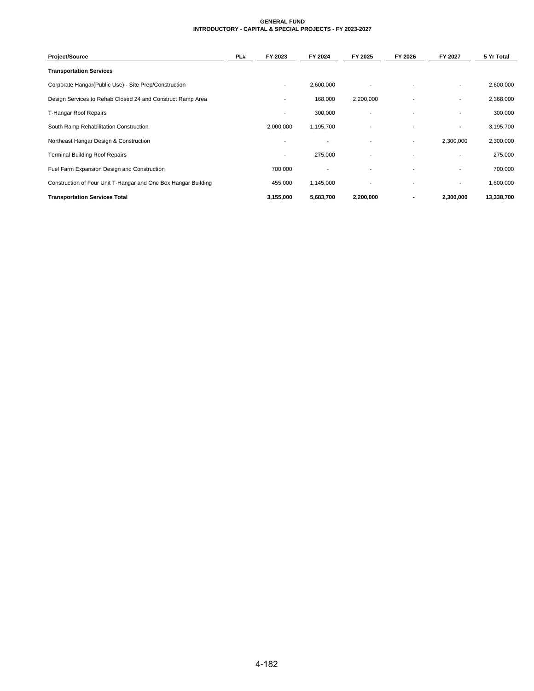#### **GENERAL FUND INTRODUCTORY - CAPITAL & SPECIAL PROJECTS - FY 2023-2027**

| <b>Project/Source</b>                                          | PL# | FY 2023        | FY 2024                  | FY 2025                  | FY 2026                  | FY 2027                  | 5 Yr Total |
|----------------------------------------------------------------|-----|----------------|--------------------------|--------------------------|--------------------------|--------------------------|------------|
| <b>Transportation Services</b>                                 |     |                |                          |                          |                          |                          |            |
| Corporate Hangar(Public Use) - Site Prep/Construction          |     |                | 2,600,000                |                          |                          | ۰                        | 2,600,000  |
| Design Services to Rehab Closed 24 and Construct Ramp Area     |     |                | 168,000                  | 2,200,000                |                          |                          | 2,368,000  |
| T-Hangar Roof Repairs                                          |     |                | 300,000                  |                          |                          |                          | 300,000    |
| South Ramp Rehabilitation Construction                         |     | 2,000,000      | 1,195,700                |                          |                          |                          | 3,195,700  |
| Northeast Hangar Design & Construction                         |     |                | $\overline{\phantom{a}}$ |                          | ۰                        | 2,300,000                | 2,300,000  |
| <b>Terminal Building Roof Repairs</b>                          |     | $\blacksquare$ | 275,000                  | ٠                        | $\blacksquare$           | $\sim$                   | 275,000    |
| Fuel Farm Expansion Design and Construction                    |     | 700,000        | $\overline{\phantom{a}}$ | ۰                        | $\overline{\phantom{a}}$ |                          | 700,000    |
| Construction of Four Unit T-Hangar and One Box Hangar Building |     | 455,000        | 1,145,000                | $\overline{\phantom{a}}$ | $\overline{\phantom{a}}$ | $\overline{\phantom{a}}$ | 1,600,000  |
| <b>Transportation Services Total</b>                           |     | 3,155,000      | 5,683,700                | 2,200,000                |                          | 2,300,000                | 13,338,700 |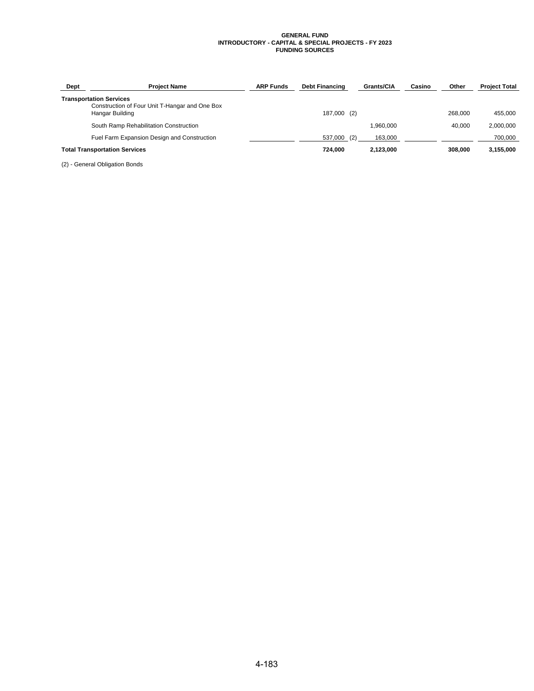#### **GENERAL FUND INTRODUCTORY - CAPITAL & SPECIAL PROJECTS - FY 2023 FUNDING SOURCES**

| Dept | <b>Project Name</b>                                                              | <b>ARP Funds</b> | <b>Debt Financing</b> | Grants/CIA | Casino | Other   | <b>Project Total</b> |
|------|----------------------------------------------------------------------------------|------------------|-----------------------|------------|--------|---------|----------------------|
|      | <b>Transportation Services</b><br>Construction of Four Unit T-Hangar and One Box |                  |                       |            |        |         |                      |
|      | Hangar Building                                                                  |                  | 187,000 (2)           |            |        | 268.000 | 455.000              |
|      | South Ramp Rehabilitation Construction                                           |                  |                       | 1.960.000  |        | 40.000  | 2,000,000            |
|      | Fuel Farm Expansion Design and Construction                                      |                  | 537,000 (2)           | 163.000    |        |         | 700.000              |
|      | <b>Total Transportation Services</b>                                             |                  | 724.000               | 2.123.000  |        | 308,000 | 3,155,000            |

(2) - General Obligation Bonds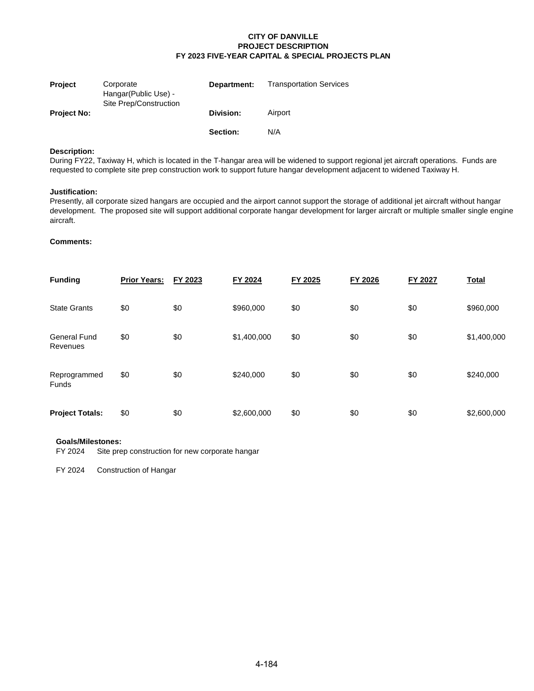| <b>Project</b>     | Corporate<br>Hangar (Public Use) -<br>Site Prep/Construction | Department:     | <b>Transportation Services</b> |
|--------------------|--------------------------------------------------------------|-----------------|--------------------------------|
| <b>Project No:</b> |                                                              | Division:       | Airport                        |
|                    |                                                              | <b>Section:</b> | N/A                            |

### **Description:**

During FY22, Taxiway H, which is located in the T-hangar area will be widened to support regional jet aircraft operations. Funds are requested to complete site prep construction work to support future hangar development adjacent to widened Taxiway H.

#### **Justification:**

Presently, all corporate sized hangars are occupied and the airport cannot support the storage of additional jet aircraft without hangar development. The proposed site will support additional corporate hangar development for larger aircraft or multiple smaller single engine aircraft.

#### **Comments:**

| <b>Funding</b>                  | <b>Prior Years:</b> | FY 2023 | FY 2024     | FY 2025 | FY 2026 | FY 2027 | <b>Total</b> |
|---------------------------------|---------------------|---------|-------------|---------|---------|---------|--------------|
| <b>State Grants</b>             | \$0                 | \$0     | \$960,000   | \$0     | \$0     | \$0     | \$960,000    |
| <b>General Fund</b><br>Revenues | \$0                 | \$0     | \$1,400,000 | \$0     | \$0     | \$0     | \$1,400,000  |
| Reprogrammed<br><b>Funds</b>    | \$0                 | \$0     | \$240,000   | \$0     | \$0     | \$0     | \$240,000    |
| <b>Project Totals:</b>          | \$0                 | \$0     | \$2,600,000 | \$0     | \$0     | \$0     | \$2,600,000  |

#### **Goals/Milestones:**

FY 2024 Site prep construction for new corporate hangar

FY 2024 Construction of Hangar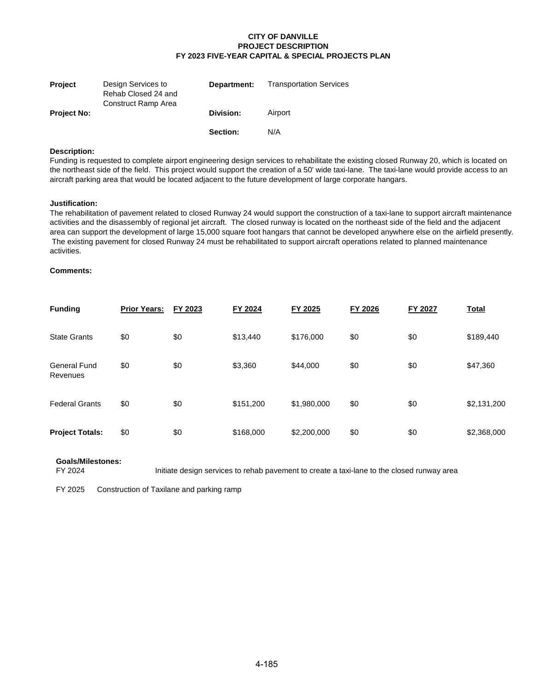| <b>Project</b>     | Design Services to<br>Rehab Closed 24 and<br>Construct Ramp Area | Department: | <b>Transportation Services</b> |
|--------------------|------------------------------------------------------------------|-------------|--------------------------------|
| <b>Project No:</b> |                                                                  | Division:   | Airport                        |
|                    |                                                                  | Section:    | N/A                            |

#### **Description:**

Funding is requested to complete airport engineering design services to rehabilitate the existing closed Runway 20, which is located on the northeast side of the field. This project would support the creation of a 50' wide taxi-lane. The taxi-lane would provide access to an aircraft parking area that would be located adjacent to the future development of large corporate hangars.

#### **Justification:**

The rehabilitation of pavement related to closed Runway 24 would support the construction of a taxi-lane to support aircraft maintenance activities and the disassembly of regional jet aircraft. The closed runway is located on the northeast side of the field and the adjacent area can support the development of large 15,000 square foot hangars that cannot be developed anywhere else on the airfield presently. The existing pavement for closed Runway 24 must be rehabilitated to support aircraft operations related to planned maintenance activities.

## **Comments:**

| <b>Funding</b>                  | <b>Prior Years:</b> | FY 2023 | FY 2024   | FY 2025     | FY 2026 | FY 2027 | <b>Total</b> |
|---------------------------------|---------------------|---------|-----------|-------------|---------|---------|--------------|
| <b>State Grants</b>             | \$0                 | \$0     | \$13,440  | \$176,000   | \$0     | \$0     | \$189,440    |
| <b>General Fund</b><br>Revenues | \$0                 | \$0     | \$3,360   | \$44,000    | \$0     | \$0     | \$47,360     |
| <b>Federal Grants</b>           | \$0                 | \$0     | \$151,200 | \$1,980,000 | \$0     | \$0     | \$2,131,200  |
| <b>Project Totals:</b>          | \$0                 | \$0     | \$168,000 | \$2,200,000 | \$0     | \$0     | \$2,368,000  |

#### **Goals/Milestones:** FY 2024

Initiate design services to rehab pavement to create a taxi-lane to the closed runway area

FY 2025 Construction of Taxilane and parking ramp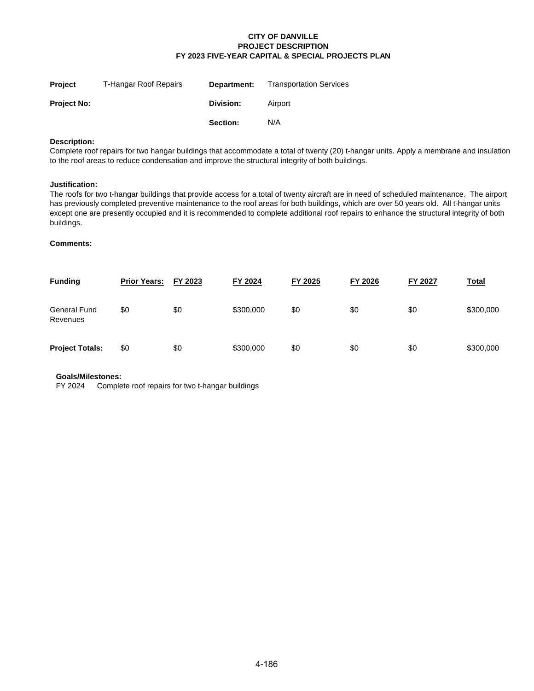| <b>Project</b>     | T-Hangar Roof Repairs | Department: | <b>Transportation Services</b> |
|--------------------|-----------------------|-------------|--------------------------------|
| <b>Project No:</b> |                       | Division:   | Airport                        |
|                    |                       | Section:    | N/A                            |

### **Description:**

Complete roof repairs for two hangar buildings that accommodate a total of twenty (20) t-hangar units. Apply a membrane and insulation to the roof areas to reduce condensation and improve the structural integrity of both buildings.

#### **Justification:**

The roofs for two t-hangar buildings that provide access for a total of twenty aircraft are in need of scheduled maintenance. The airport has previously completed preventive maintenance to the roof areas for both buildings, which are over 50 years old. All t-hangar units except one are presently occupied and it is recommended to complete additional roof repairs to enhance the structural integrity of both buildings.

## **Comments:**

| <b>Funding</b>                  | <b>Prior Years:</b> | FY 2023 | FY 2024   | FY 2025 | FY 2026 | FY 2027 | <u>Total</u> |
|---------------------------------|---------------------|---------|-----------|---------|---------|---------|--------------|
| <b>General Fund</b><br>Revenues | \$0                 | \$0     | \$300,000 | \$0     | \$0     | \$0     | \$300,000    |
| <b>Project Totals:</b>          | \$0                 | \$0     | \$300,000 | \$0     | \$0     | \$0     | \$300,000    |

#### **Goals/Milestones:**

FY 2024 Complete roof repairs for two t-hangar buildings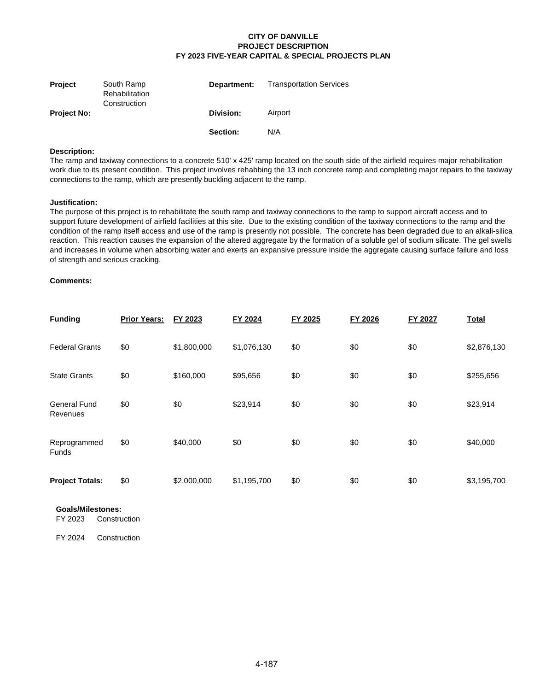| <b>Project</b>     | South Ramp<br>Rehabilitation<br>Construction | Department: | <b>Transportation Services</b> |
|--------------------|----------------------------------------------|-------------|--------------------------------|
| <b>Project No:</b> |                                              | Division:   | Airport                        |
|                    |                                              | Section:    | N/A                            |

#### **Description:**

The ramp and taxiway connections to a concrete 510' x 425' ramp located on the south side of the airfield requires major rehabilitation work due to its present condition. This project involves rehabbing the 13 inch concrete ramp and completing major repairs to the taxiway connections to the ramp, which are presently buckling adjacent to the ramp.

#### **Justification:**

The purpose of this project is to rehabilitate the south ramp and taxiway connections to the ramp to support aircraft access and to support future development of airfield facilities at this site. Due to the existing condition of the taxiway connections to the ramp and the condition of the ramp itself access and use of the ramp is presently not possible. The concrete has been degraded due to an alkali-silica reaction. This reaction causes the expansion of the altered aggregate by the formation of a soluble gel of sodium silicate. The gel swells and increases in volume when absorbing water and exerts an expansive pressure inside the aggregate causing surface failure and loss of strength and serious cracking.

#### **Comments:**

| <b>Funding</b>                  | <b>Prior Years:</b> | FY 2023     | FY 2024     | FY 2025 | FY 2026 | FY 2027 | <b>Total</b> |
|---------------------------------|---------------------|-------------|-------------|---------|---------|---------|--------------|
| <b>Federal Grants</b>           | \$0                 | \$1,800,000 | \$1,076,130 | \$0     | \$0     | \$0     | \$2,876,130  |
| <b>State Grants</b>             | \$0                 | \$160,000   | \$95,656    | \$0     | \$0     | \$0     | \$255,656    |
| <b>General Fund</b><br>Revenues | \$0                 | \$0         | \$23,914    | \$0     | \$0     | \$0     | \$23,914     |
| Reprogrammed<br><b>Funds</b>    | \$0                 | \$40,000    | \$0         | \$0     | \$0     | \$0     | \$40,000     |
| <b>Project Totals:</b>          | \$0                 | \$2,000,000 | \$1,195,700 | \$0     | \$0     | \$0     | \$3,195,700  |

# **Goals/Milestones:**

Construction

FY 2024 Construction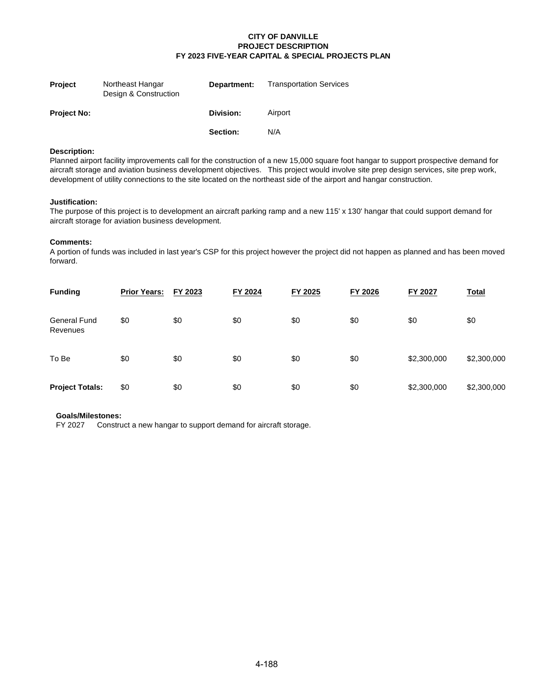| <b>Project</b>     | Northeast Hangar<br>Design & Construction | Department: | <b>Transportation Services</b> |
|--------------------|-------------------------------------------|-------------|--------------------------------|
| <b>Project No:</b> |                                           | Division:   | Airport                        |
|                    |                                           | Section:    | N/A                            |

## **Description:**

Planned airport facility improvements call for the construction of a new 15,000 square foot hangar to support prospective demand for aircraft storage and aviation business development objectives. This project would involve site prep design services, site prep work, development of utility connections to the site located on the northeast side of the airport and hangar construction.

#### **Justification:**

The purpose of this project is to development an aircraft parking ramp and a new 115' x 130' hangar that could support demand for aircraft storage for aviation business development.

#### **Comments:**

A portion of funds was included in last year's CSP for this project however the project did not happen as planned and has been moved forward.

| <b>Funding</b>                  | <b>Prior Years:</b> | FY 2023 | FY 2024 | FY 2025 | FY 2026 | FY 2027     | <b>Total</b> |
|---------------------------------|---------------------|---------|---------|---------|---------|-------------|--------------|
| <b>General Fund</b><br>Revenues | \$0                 | \$0     | \$0     | \$0     | \$0     | \$0         | \$0          |
| To Be                           | \$0                 | \$0     | \$0     | \$0     | \$0     | \$2,300,000 | \$2,300,000  |
| <b>Project Totals:</b>          | \$0                 | \$0     | \$0     | \$0     | \$0     | \$2,300,000 | \$2,300,000  |

# **Goals/Milestones:**<br>FY 2027 Constru

Construct a new hangar to support demand for aircraft storage.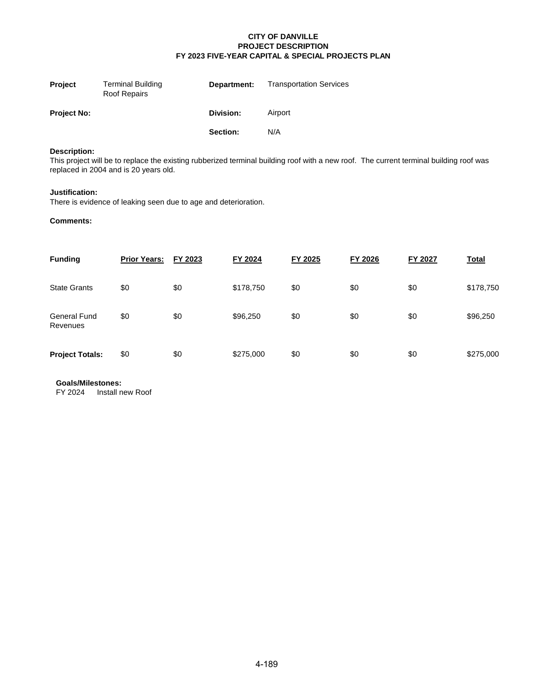| <b>Project</b>     | <b>Terminal Building</b><br>Roof Repairs | Department: | <b>Transportation Services</b> |
|--------------------|------------------------------------------|-------------|--------------------------------|
| <b>Project No:</b> |                                          | Division:   | Airport                        |
|                    |                                          | Section:    | N/A                            |

## **Description:**

This project will be to replace the existing rubberized terminal building roof with a new roof. The current terminal building roof was replaced in 2004 and is 20 years old.

#### **Justification:**

There is evidence of leaking seen due to age and deterioration.

#### **Comments:**

| <b>Funding</b>                  | <b>Prior Years:</b> | FY 2023 | FY 2024   | FY 2025 | FY 2026 | FY 2027 | <b>Total</b> |
|---------------------------------|---------------------|---------|-----------|---------|---------|---------|--------------|
| <b>State Grants</b>             | \$0                 | \$0     | \$178,750 | \$0     | \$0     | \$0     | \$178,750    |
| <b>General Fund</b><br>Revenues | \$0                 | \$0     | \$96,250  | \$0     | \$0     | \$0     | \$96,250     |
| <b>Project Totals:</b>          | \$0                 | \$0     | \$275,000 | \$0     | \$0     | \$0     | \$275,000    |

**Goals/Milestones:**

FY 2024 Install new Roof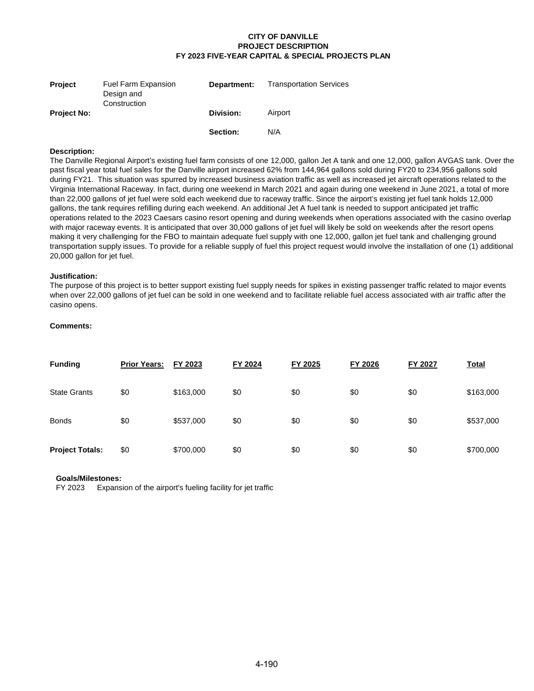| <b>Project</b>     | <b>Fuel Farm Expansion</b><br>Design and<br>Construction | Department: | <b>Transportation Services</b> |
|--------------------|----------------------------------------------------------|-------------|--------------------------------|
| <b>Project No:</b> |                                                          | Division:   | Airport                        |
|                    |                                                          | Section:    | N/A                            |

#### **Description:**

The Danville Regional Airport's existing fuel farm consists of one 12,000, gallon Jet A tank and one 12,000, gallon AVGAS tank. Over the past fiscal year total fuel sales for the Danville airport increased 62% from 144,964 gallons sold during FY20 to 234,956 gallons sold during FY21. This situation was spurred by increased business aviation traffic as well as increased jet aircraft operations related to the Virginia International Raceway. In fact, during one weekend in March 2021 and again during one weekend in June 2021, a total of more than 22,000 gallons of jet fuel were sold each weekend due to raceway traffic. Since the airport's existing jet fuel tank holds 12,000 gallons, the tank requires refilling during each weekend. An additional Jet A fuel tank is needed to support anticipated jet traffic operations related to the 2023 Caesars casino resort opening and during weekends when operations associated with the casino overlap with major raceway events. It is anticipated that over 30,000 gallons of jet fuel will likely be sold on weekends after the resort opens making it very challenging for the FBO to maintain adequate fuel supply with one 12,000, gallon jet fuel tank and challenging ground transportation supply issues. To provide for a reliable supply of fuel this project request would involve the installation of one (1) additional 20,000 gallon for jet fuel.

#### **Justification:**

The purpose of this project is to better support existing fuel supply needs for spikes in existing passenger traffic related to major events when over 22,000 gallons of jet fuel can be sold in one weekend and to facilitate reliable fuel access associated with air traffic after the casino opens.

#### **Comments:**

| <b>Funding</b>         | <b>Prior Years:</b> | FY 2023   | FY 2024 | FY 2025 | FY 2026 | FY 2027 | <b>Total</b> |
|------------------------|---------------------|-----------|---------|---------|---------|---------|--------------|
| <b>State Grants</b>    | \$0                 | \$163,000 | \$0     | \$0     | \$0     | \$0     | \$163,000    |
| <b>Bonds</b>           | \$0                 | \$537,000 | \$0     | \$0     | \$0     | \$0     | \$537,000    |
| <b>Project Totals:</b> | \$0                 | \$700,000 | \$0     | \$0     | \$0     | \$0     | \$700,000    |

#### **Goals/Milestones:**

FY 2023 Expansion of the airport's fueling facility for jet traffic